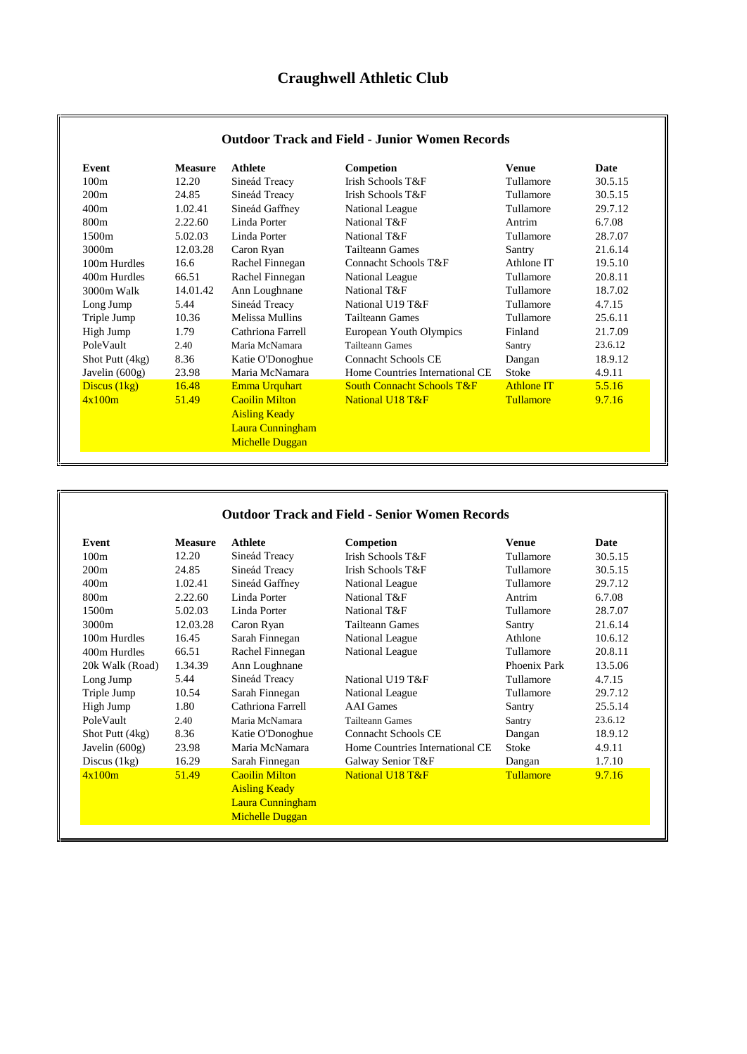| Event            | <b>Measure</b> | Athlete                 | Competion                             | Venue             | Date    |
|------------------|----------------|-------------------------|---------------------------------------|-------------------|---------|
| 100m             | 12.20          | Sineád Treacy           | Irish Schools T&F                     | Tullamore         | 30.5.15 |
| 200m             | 24.85          | Sineád Treacy           | Irish Schools T&F                     | Tullamore         | 30.5.15 |
| 400m             | 1.02.41        | Sineád Gaffney          | National League                       | Tullamore         | 29.7.12 |
| 800 <sub>m</sub> | 2.22.60        | Linda Porter            | National T&F                          | Antrim            | 6.7.08  |
| 1500m            | 5.02.03        | Linda Porter            | National T&F                          | Tullamore         | 28.7.07 |
| 3000m            | 12.03.28       | Caron Ryan              | <b>Tailteann Games</b>                | Santry            | 21.6.14 |
| 100m Hurdles     | 16.6           | Rachel Finnegan         | Connacht Schools T&F                  | Athlone IT        | 19.5.10 |
| 400m Hurdles     | 66.51          | Rachel Finnegan         | National League                       | Tullamore         | 20.8.11 |
| 3000m Walk       | 14.01.42       | Ann Loughnane           | National T&F                          | Tullamore         | 18.7.02 |
| Long Jump        | 5.44           | Sineád Treacy           | National U19 T&F                      | Tullamore         | 4.7.15  |
| Triple Jump      | 10.36          | Melissa Mullins         | <b>Tailteann Games</b>                | Tullamore         | 25.6.11 |
| High Jump        | 1.79           | Cathriona Farrell       | European Youth Olympics               | Finland           | 21.7.09 |
| PoleVault        | 2.40           | Maria McNamara          | <b>Tailteann Games</b>                | Santry            | 23.6.12 |
| Shot Putt (4kg)  | 8.36           | Katie O'Donoghue        | <b>Connacht Schools CE</b>            | Dangan            | 18.9.12 |
| Javelin $(600g)$ | 23.98          | Maria McNamara          | Home Countries International CE       | Stoke             | 4.9.11  |
| Discus $(1kg)$   | 16.48          | Emma Urquhart           | <b>South Connacht Schools T&amp;F</b> | <b>Athlone IT</b> | 5.5.16  |
| 4x100m           | 51.49          | <b>Caoilin Milton</b>   | National U18 T&F                      | <b>Tullamore</b>  | 9.7.16  |
|                  |                | <b>Aisling Keady</b>    |                                       |                   |         |
|                  |                | <b>Laura Cunningham</b> |                                       |                   |         |
|                  |                | <b>Michelle Duggan</b>  |                                       |                   |         |

## **Outdoor Track and Field - Junior Women Records**

## **Outdoor Track and Field - Senior Women Records**

| Event            | <b>Measure</b> | <b>Athlete</b>         | Competion                       | <b>Venue</b>     | Date    |
|------------------|----------------|------------------------|---------------------------------|------------------|---------|
| 100m             | 12.20          | Sineád Treacy          | Irish Schools T&F               | Tullamore        | 30.5.15 |
| 200m             | 24.85          | Sineád Treacy          | <b>Irish Schools T&amp;F</b>    | Tullamore        | 30.5.15 |
| 400m             | 1.02.41        | Sineád Gaffney         | National League                 | Tullamore        | 29.7.12 |
| 800m             | 2.22.60        | Linda Porter           | National T&F                    | Antrim           | 6.7.08  |
| 1500m            | 5.02.03        | Linda Porter           | National T&F                    | Tullamore        | 28.7.07 |
| 3000m            | 12.03.28       | Caron Ryan             | Tailteann Games                 | Santry           | 21.6.14 |
| 100m Hurdles     | 16.45          | Sarah Finnegan         | National League                 | Athlone          | 10.6.12 |
| 400m Hurdles     | 66.51          | Rachel Finnegan        | National League                 | Tullamore        | 20.8.11 |
| 20k Walk (Road)  | 1.34.39        | Ann Loughnane          |                                 | Phoenix Park     | 13.5.06 |
| Long Jump        | 5.44           | Sineád Treacy          | National U19 T&F                | Tullamore        | 4.7.15  |
| Triple Jump      | 10.54          | Sarah Finnegan         | National League                 | Tullamore        | 29.7.12 |
| High Jump        | 1.80           | Cathriona Farrell      | <b>AAI</b> Games                | Santry           | 25.5.14 |
| PoleVault        | 2.40           | Maria McNamara         | <b>Tailteann Games</b>          | Santry           | 23.6.12 |
| Shot Putt (4kg)  | 8.36           | Katie O'Donoghue       | Connacht Schools CE             | Dangan           | 18.9.12 |
| Javelin $(600g)$ | 23.98          | Maria McNamara         | Home Countries International CE | <b>Stoke</b>     | 4.9.11  |
| Discus $(1kg)$   | 16.29          | Sarah Finnegan         | Galway Senior T&F               | Dangan           | 1.7.10  |
| 4x100m           | 51.49          | <b>Caoilin Milton</b>  | National U18 T&F                | <b>Tullamore</b> | 9.7.16  |
|                  |                | <b>Aisling Keady</b>   |                                 |                  |         |
|                  |                | Laura Cunningham       |                                 |                  |         |
|                  |                | <b>Michelle Duggan</b> |                                 |                  |         |